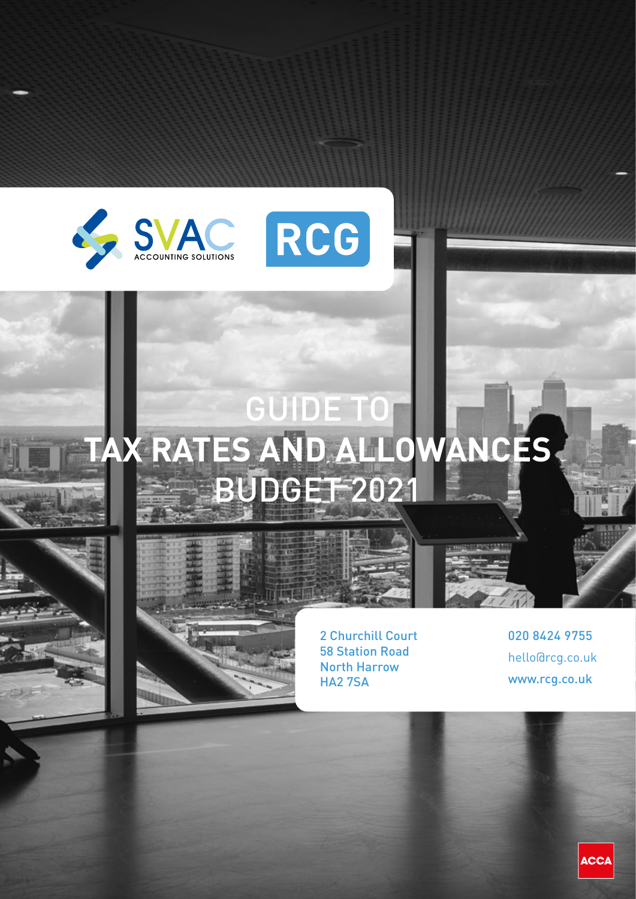



# GUIDE TO **TAX RATES AND ALLOWANCES BUDGET-2021**



2 Churchill Court 58 Station Road North Harrow HA2 7SA

020 8424 9755 hello@rcg.co.uk www.rcg.co.uk

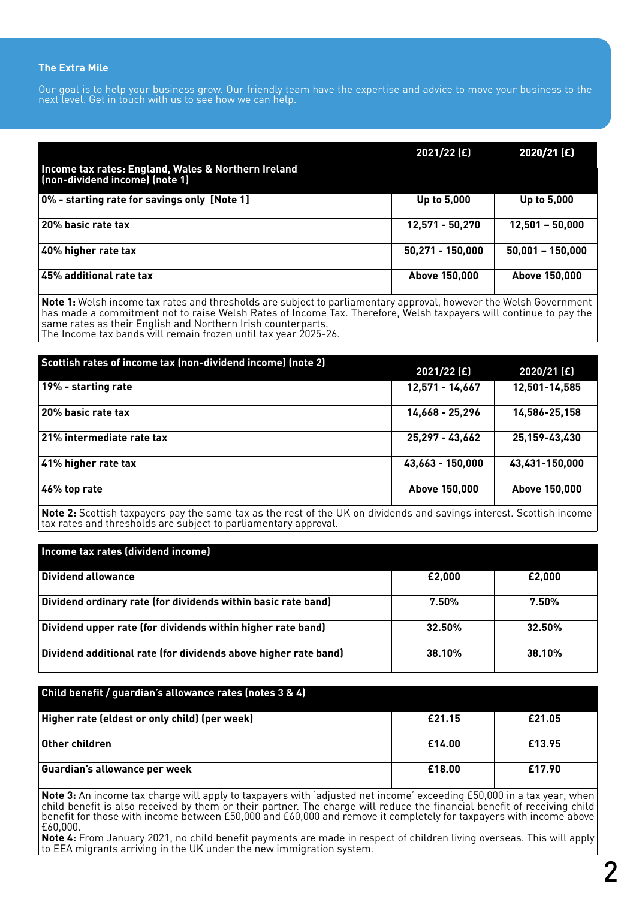#### **The Extra Mile**

Our goal is to help your business grow. Our friendly team have the expertise and advice to move your business to the next level. Get in touch with us to see how we can help.

|                                                                                       | 2021/22 (£)      | 2020/21 (£)        |
|---------------------------------------------------------------------------------------|------------------|--------------------|
| Income tax rates: England, Wales & Northern Ireland<br>(non-dividend income) (note 1) |                  |                    |
| 0% - starting rate for savings only [Note 1]                                          | Up to 5,000      | Up to 5,000        |
| 20% basic rate tax                                                                    | 12,571 - 50,270  | $12,501 - 50,000$  |
| 40% higher rate tax                                                                   | 50,271 - 150,000 | $50,001 - 150,000$ |
| $\vert$ 45% additional rate tax                                                       | Above 150,000    | Above 150,000      |

**Note 1:** Welsh income tax rates and thresholds are subject to parliamentary approval, however the Welsh Government has made a commitment not to raise Welsh Rates of Income Tax. Therefore, Welsh taxpayers will continue to pay the same rates as their English and Northern Irish counterparts. The Income tax bands will remain frozen until tax year 2025-26.

| Scottish rates of income tax (non-dividend income) (note 2) | 2021/22 (£)      | 2020/21 (£)    |
|-------------------------------------------------------------|------------------|----------------|
| 19% - starting rate                                         | 12,571 - 14,667  | 12,501-14,585  |
| 20% basic rate tax                                          | 14,668 - 25,296  | 14,586-25,158  |
| 21% intermediate rate tax                                   | 25,297 - 43,662  | 25,159-43,430  |
| 41% higher rate tax                                         | 43,663 - 150,000 | 43,431-150,000 |
| 46% top rate                                                | Above 150,000    | Above 150,000  |

**Note 2:** Scottish taxpayers pay the same tax as the rest of the UK on dividends and savings interest. Scottish income tax rates and thresholds are subject to parliamentary approval.

| Income tax rates (dividend income)                              |        |          |
|-----------------------------------------------------------------|--------|----------|
| Dividend allowance                                              | £2,000 | £2,000   |
| Dividend ordinary rate (for dividends within basic rate band)   | 7.50%  | $7.50\%$ |
| Dividend upper rate (for dividends within higher rate band)     | 32.50% | 32.50%   |
| Dividend additional rate (for dividends above higher rate band) | 38.10% | 38.10%   |

#### **Child benefit / guardian's allowance rates (notes 3 & 4)**

| Higher rate (eldest or only child) (per week) | £21.15 | £21.05 |
|-----------------------------------------------|--------|--------|
| Other children                                | £14.00 | £13.95 |
| Guardian's allowance per week                 | £18.00 | £17.90 |

**Note 3:** An income tax charge will apply to taxpayers with 'adjusted net income' exceeding £50,000 in a tax year, when child benefit is also received by them or their partner. The charge will reduce the financial benefit of receiving child benefit for those with income between £50,000 and £60,000 and remove it completely for taxpayers with income above £60,000.

**Note 4:** From January 2021, no child benefit payments are made in respect of children living overseas. This will apply  $\vert$ to EEA migrants arriving in the UK under the new immigration system.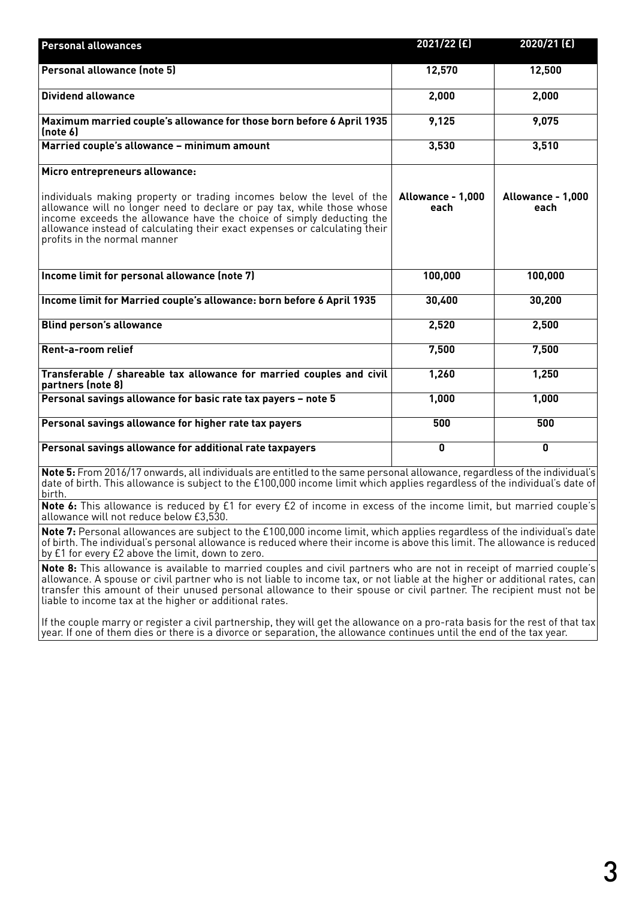| <b>Personal allowances</b>                                                                                                                                                                                                                                                                                                            | 2021/22 (£)               | 2020/21 (£)               |
|---------------------------------------------------------------------------------------------------------------------------------------------------------------------------------------------------------------------------------------------------------------------------------------------------------------------------------------|---------------------------|---------------------------|
| Personal allowance (note 5)                                                                                                                                                                                                                                                                                                           | 12,570                    | 12,500                    |
| <b>Dividend allowance</b>                                                                                                                                                                                                                                                                                                             | 2,000                     | 2,000                     |
| Maximum married couple's allowance for those born before 6 April 1935<br>(note 6)                                                                                                                                                                                                                                                     | 9,125                     | 9,075                     |
| Married couple's allowance - minimum amount                                                                                                                                                                                                                                                                                           | 3,530                     | 3,510                     |
| Micro entrepreneurs allowance:                                                                                                                                                                                                                                                                                                        |                           |                           |
| individuals making property or trading incomes below the level of the<br>allowance will no longer need to declare or pay tax, while those whose<br>income exceeds the allowance have the choice of simply deducting the<br>allowance instead of calculating their exact expenses or calculating their<br>profits in the normal manner | Allowance - 1,000<br>each | Allowance - 1,000<br>each |
| Income limit for personal allowance (note 7)                                                                                                                                                                                                                                                                                          | 100,000                   | 100,000                   |
| Income limit for Married couple's allowance: born before 6 April 1935                                                                                                                                                                                                                                                                 | 30,400                    | 30,200                    |
| <b>Blind person's allowance</b>                                                                                                                                                                                                                                                                                                       | 2,520                     | 2,500                     |
| Rent-a-room relief                                                                                                                                                                                                                                                                                                                    | 7,500                     | 7,500                     |
| Transferable / shareable tax allowance for married couples and civil<br>partners (note 8)                                                                                                                                                                                                                                             | 1,260                     | 1,250                     |
| Personal savings allowance for basic rate tax payers - note 5                                                                                                                                                                                                                                                                         | 1,000                     | 1,000                     |
| Personal savings allowance for higher rate tax payers                                                                                                                                                                                                                                                                                 | 500                       | 500                       |
| Personal savings allowance for additional rate taxpayers                                                                                                                                                                                                                                                                              | $\overline{\mathbf{0}}$   | $\overline{\mathbf{0}}$   |
| Note 5: From 2016/17 onwards, all individuals are entitled to the same personal allowance, regardless of the individual's<br>date of birth. This allowance is subject to the £100,000 income limit which applies regardless of the individual's date of<br>birth.                                                                     |                           |                           |
| Note 6: This allowance is reduced by £1 for every £2 of income in excess of the income limit, but married couple's<br>allowance will not reduce below £3,530.                                                                                                                                                                         |                           |                           |
| Note 7: Personal allowances are subject to the £100,000 income limit, which applies regardless of the individual's date<br>of birth. The individual's personal allowance is reduced where their income is above this limit. The allowance is reduced                                                                                  |                           |                           |

by £1 for every £2 above the limit, down to zero. **Note 8:** This allowance is available to married couples and civil partners who are not in receipt of married couple's allowance. A spouse or civil partner who is not liable to income tax, or not liable at the higher or additional rates, can transfer this amount of their unused personal allowance to their spouse or civil partner. The recipient must not be liable to income tax at the higher or additional rates.

If the couple marry or register a civil partnership, they will get the allowance on a pro-rata basis for the rest of that tax year. If one of them dies or there is a divorce or separation, the allowance continues until the end of the tax year.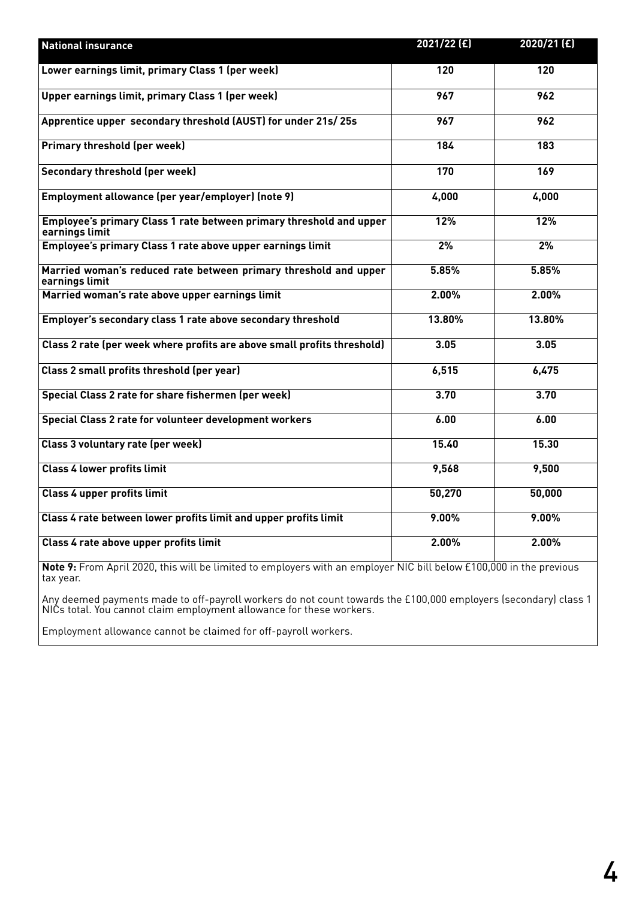| <b>National insurance</b>                                                             | 2021/22 (£) | 2020/21 (£) |
|---------------------------------------------------------------------------------------|-------------|-------------|
| Lower earnings limit, primary Class 1 (per week)                                      | 120         | 120         |
| Upper earnings limit, primary Class 1 (per week)                                      | 967         | 962         |
| Apprentice upper secondary threshold (AUST) for under 21s/25s                         | 967         | 962         |
| <b>Primary threshold (per week)</b>                                                   | 184         | 183         |
| <b>Secondary threshold (per week)</b>                                                 | 170         | 169         |
| Employment allowance (per year/employer) (note 9)                                     | 4,000       | 4,000       |
| Employee's primary Class 1 rate between primary threshold and upper<br>earnings limit | 12%         | 12%         |
| Employee's primary Class 1 rate above upper earnings limit                            | 2%          | 2%          |
| Married woman's reduced rate between primary threshold and upper<br>earnings limit    | 5.85%       | 5.85%       |
| Married woman's rate above upper earnings limit                                       | 2.00%       | 2.00%       |
| Employer's secondary class 1 rate above secondary threshold                           | 13.80%      | 13.80%      |
| Class 2 rate (per week where profits are above small profits threshold)               | 3.05        | 3.05        |
| Class 2 small profits threshold (per year)                                            | 6,515       | 6,475       |
| Special Class 2 rate for share fishermen (per week)                                   | 3.70        | 3.70        |
| Special Class 2 rate for volunteer development workers                                | 6.00        | 6.00        |
| Class 3 voluntary rate (per week)                                                     | 15.40       | 15.30       |
| <b>Class 4 lower profits limit</b>                                                    | 9,568       | 9,500       |
| <b>Class 4 upper profits limit</b>                                                    | 50,270      | 50,000      |
| Class 4 rate between lower profits limit and upper profits limit                      | 9.00%       | 9.00%       |
| Class 4 rate above upper profits limit                                                | 2.00%       | 2.00%       |

**Note 9:** From April 2020, this will be limited to employers with an employer NIC bill below £100,000 in the previous tax year.

Any deemed payments made to off-payroll workers do not count towards the £100,000 employers (secondary) class 1 NICs total. You cannot claim employment allowance for these workers.

Employment allowance cannot be claimed for off-payroll workers.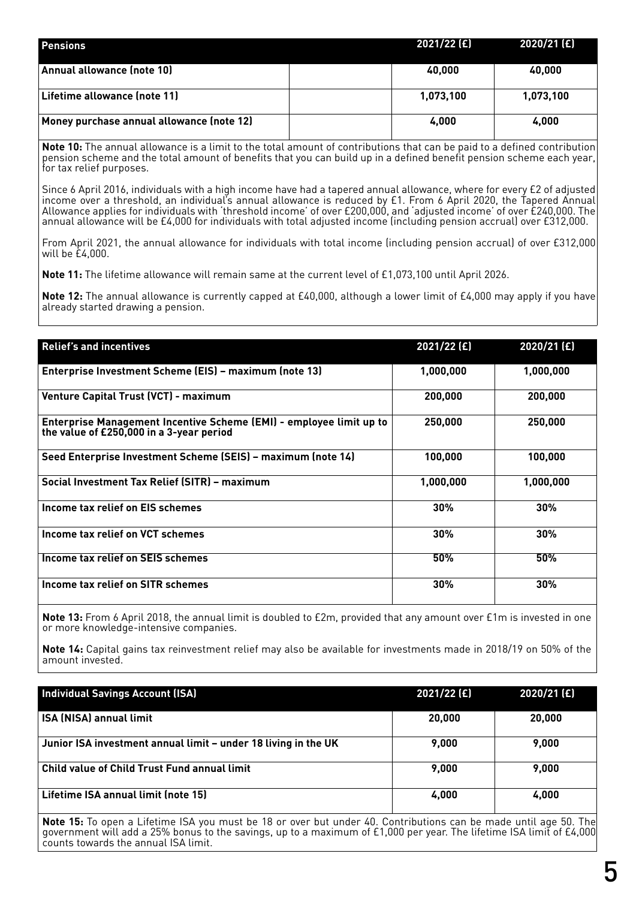| <b>Pensions</b>                           | $2021/22$ (£) | $2020/21$ (£) |
|-------------------------------------------|---------------|---------------|
| Annual allowance (note 10)                | 40,000        | 40,000        |
| Lifetime allowance (note 11)              | 1.073.100     | 1,073,100     |
| Money purchase annual allowance (note 12) | 4,000         | 4,000         |

**Note 10:** The annual allowance is a limit to the total amount of contributions that can be paid to a defined contribution pension scheme and the total amount of benefits that you can build up in a defined benefit pension scheme each year, for tax relief purposes.

Since 6 April 2016, individuals with a high income have had a tapered annual allowance, where for every £2 of adjusted income over a threshold, an individual's annual allowance is reduced by £1. From 6 April 2020, the Tapered Annual Allowance applies for individuals with 'threshold income' of over £200,000, and 'adjusted income' of over £240,000. The annual allowance will be £4,000 for individuals with total adjusted income (including pension accrual) over £312,000.

From April 2021, the annual allowance for individuals with total income (including pension accrual) of over £312,000 will be £4,000.

**Note 11:** The lifetime allowance will remain same at the current level of £1,073,100 until April 2026.

**Note 12:** The annual allowance is currently capped at £40,000, although a lower limit of £4,000 may apply if you have already started drawing a pension.

| <b>Relief's and incentives</b>                                                                                  | $2021/22$ (£) | $2020/21$ (£) |
|-----------------------------------------------------------------------------------------------------------------|---------------|---------------|
|                                                                                                                 |               |               |
| Enterprise Investment Scheme (EIS) - maximum (note 13)                                                          | 1,000,000     | 1,000,000     |
| <b>Venture Capital Trust (VCT) - maximum</b>                                                                    | 200,000       | 200,000       |
| Enterprise Management Incentive Scheme (EMI) - employee limit up to<br>the value of £250,000 in a 3-year period | 250,000       | 250,000       |
| Seed Enterprise Investment Scheme (SEIS) - maximum (note 14)                                                    | 100,000       | 100,000       |
| Social Investment Tax Relief (SITR) - maximum                                                                   | 1.000.000     | 1.000.000     |
| Income tax relief on EIS schemes                                                                                | 30%           | $30\%$        |
| Income tax relief on VCT schemes                                                                                | 30%           | 30%           |
| Income tax relief on SEIS schemes                                                                               | 50%           | 50%           |
| Income tax relief on SITR schemes                                                                               | 30%           | 30%           |

**Note 13:** From 6 April 2018, the annual limit is doubled to £2m, provided that any amount over £1m is invested in one or more knowledge-intensive companies.

**Note 14:** Capital gains tax reinvestment relief may also be available for investments made in 2018/19 on 50% of the amount invested.

| <b>Individual Savings Account (ISA)</b>                        | 2021/22 (£) | 2020/21 (£) |
|----------------------------------------------------------------|-------------|-------------|
| <b>ISA (NISA) annual limit</b>                                 | 20,000      | 20,000      |
| Junior ISA investment annual limit – under 18 living in the UK | 9.000       | 9.000       |
| Child value of Child Trust Fund annual limit                   | 9.000       | 9.000       |
| Lifetime ISA annual limit (note 15)                            | 4,000       | 4,000       |

**Note 15:** To open a Lifetime ISA you must be 18 or over but under 40. Contributions can be made until age 50. The government will add a 25% bonus to the savings, up to a maximum of £1,000 per year. The lifetime ISA limit of £4,000 counts towards the annual ISA limit.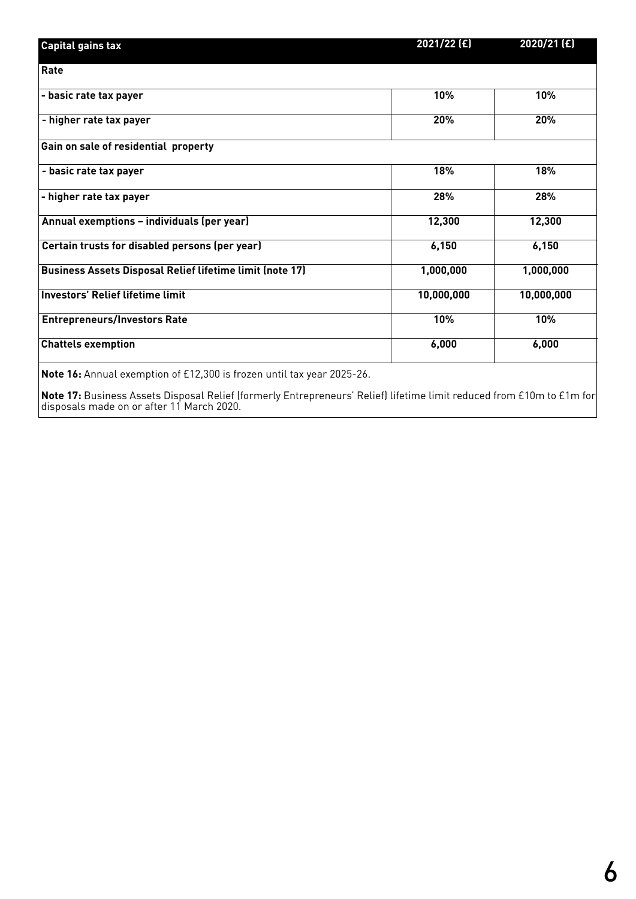| <b>Capital gains tax</b>                                        | 2021/22 (£) | 2020/21 (£) |
|-----------------------------------------------------------------|-------------|-------------|
| Rate                                                            |             |             |
| - basic rate tax payer                                          | 10%         | 10%         |
| - higher rate tax payer                                         | 20%         | 20%         |
| Gain on sale of residential property                            |             |             |
| - basic rate tax payer                                          | 18%         | 18%         |
| - higher rate tax payer                                         | 28%         | 28%         |
| Annual exemptions - individuals (per year)                      | 12,300      | 12,300      |
| Certain trusts for disabled persons (per year)                  | 6,150       | 6,150       |
| <b>Business Assets Disposal Relief lifetime limit (note 17)</b> | 1,000,000   | 1,000,000   |
| <b>Investors' Relief lifetime limit</b>                         | 10,000,000  | 10,000,000  |
| <b>Entrepreneurs/Investors Rate</b>                             | 10%         | 10%         |
| <b>Chattels exemption</b>                                       | 6,000       | 6,000       |
|                                                                 |             |             |

**Note 16:** Annual exemption of £12,300 is frozen until tax year 2025-26.

**Note 17:** Business Assets Disposal Relief (formerly Entrepreneurs' Relief) lifetime limit reduced from £10m to £1m for disposals made on or after 11 March 2020.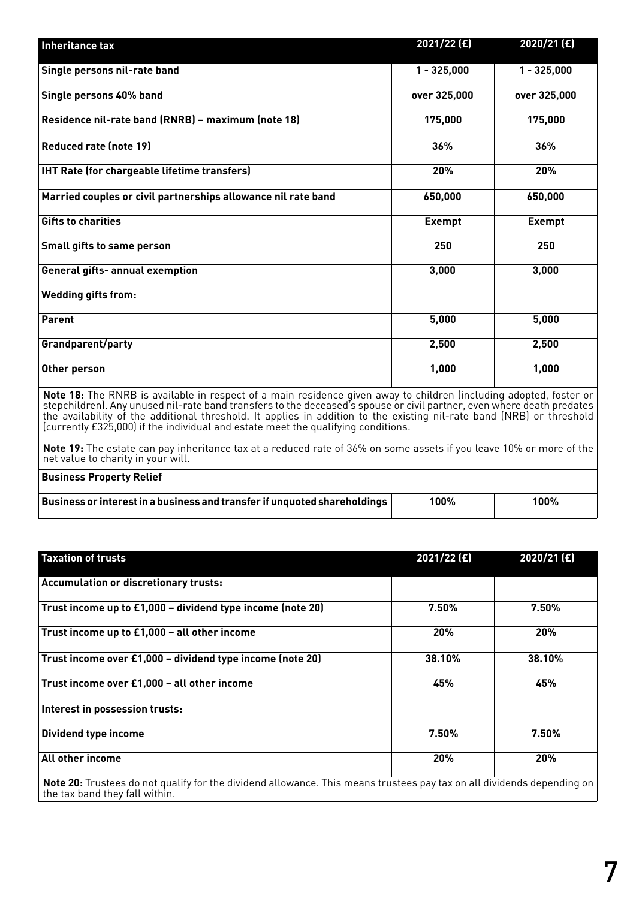| Inheritance tax                                               | 2021/22 (£)   | 2020/21 (£)   |
|---------------------------------------------------------------|---------------|---------------|
| Single persons nil-rate band                                  | $1 - 325,000$ | $1 - 325,000$ |
| Single persons 40% band                                       | over 325,000  | over 325,000  |
| Residence nil-rate band (RNRB) - maximum (note 18)            | 175,000       | 175,000       |
| <b>Reduced rate (note 19)</b>                                 | 36%           | 36%           |
| <b>IHT Rate (for chargeable lifetime transfers)</b>           | 20%           | 20%           |
| Married couples or civil partnerships allowance nil rate band | 650,000       | 650,000       |
| <b>Gifts to charities</b>                                     | <b>Exempt</b> | <b>Exempt</b> |
| Small gifts to same person                                    | 250           | 250           |
| <b>General gifts- annual exemption</b>                        | 3,000         | 3,000         |
| <b>Wedding gifts from:</b>                                    |               |               |
| Parent                                                        | 5,000         | 5,000         |
| <b>Grandparent/party</b>                                      | 2,500         | 2,500         |
| Other person                                                  | 1,000         | 1,000         |

**Note 18:** The RNRB is available in respect of a main residence given away to children (including adopted, foster or stepchildren). Any unused nil-rate band transfers to the deceased's spouse or civil partner, even where death predates the availability of the additional threshold. It applies in addition to the existing nil-rate band (NRB) or threshold (currently £325,000) if the individual and estate meet the qualifying conditions.

**Note 19:** The estate can pay inheritance tax at a reduced rate of 36% on some assets if you leave 10% or more of the net value to charity in your will.

| <b>Business Property Relief</b>                                                  |      |      |
|----------------------------------------------------------------------------------|------|------|
| <b>Business or interest in a business and transfer if unquoted shareholdings</b> | 100% | 100% |

| <b>Taxation of trusts</b>                                                                                                     | $2021/22$ (£) | 2020/21 (£) |
|-------------------------------------------------------------------------------------------------------------------------------|---------------|-------------|
| <b>Accumulation or discretionary trusts:</b>                                                                                  |               |             |
| Trust income up to £1,000 - dividend type income (note 20)                                                                    | $7.50\%$      | 7.50%       |
| Trust income up to £1,000 - all other income                                                                                  | 20%           | 20%         |
| Trust income over £1,000 - dividend type income (note 20)                                                                     | 38.10%        | 38.10%      |
| Trust income over £1,000 - all other income                                                                                   | 45%           | 45%         |
| Interest in possession trusts:                                                                                                |               |             |
| Dividend type income                                                                                                          | 7.50%         | 7.50%       |
| All other income                                                                                                              | 20%           | 20%         |
| <b>Note 20:</b> Trustees do not qualify for the dividend allowance. This means trustees pay tax on all dividends depending on |               |             |

the tax band they fall within.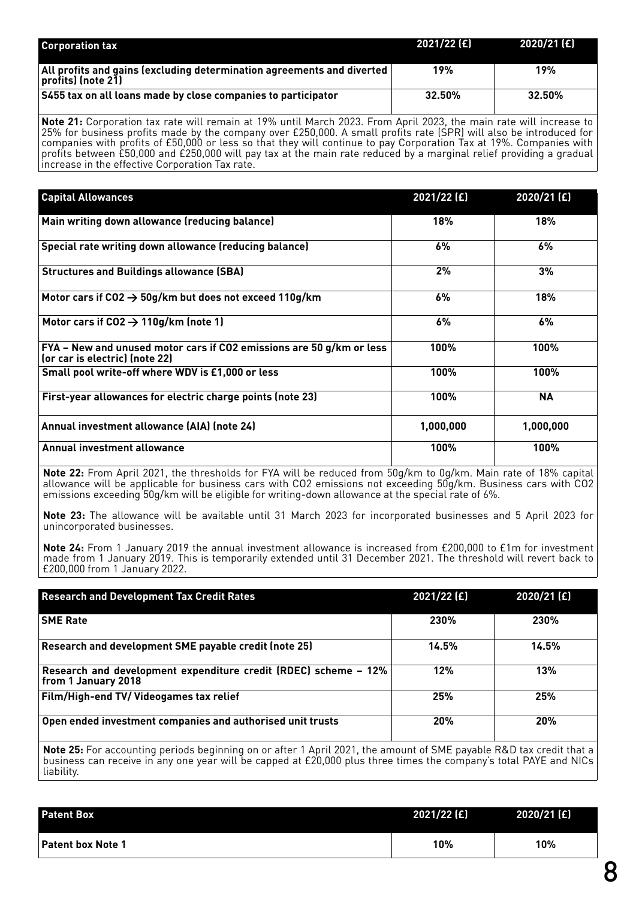| <b>Corporation tax</b>                                                                                       | 2021/22 [£] | 2020/21 (£) |
|--------------------------------------------------------------------------------------------------------------|-------------|-------------|
| $\vert$ All profits and gains (excluding determination agreements and diverted $\vert$<br>profits) (note 21) | 19%         | 19%         |
| S455 tax on all loans made by close companies to participator                                                | $32.50\%$   | 32.50%      |

**Note 21:** Corporation tax rate will remain at 19% until March 2023. From April 2023, the main rate will increase to 25% for business profits made by the company over £250,000. A small profits rate (SPR) will also be introduced for companies with profits of £50,000 or less so that they will continue to pay Corporation Tax at 19%. Companies with profits between £50,000 and £250,000 will pay tax at the main rate reduced by a marginal relief providing a gradual increase in the effective Corporation Tax rate.

| <b>Capital Allowances</b>                                                                                                  | 2021/22 (£) | 2020/21 (£) |
|----------------------------------------------------------------------------------------------------------------------------|-------------|-------------|
| Main writing down allowance (reducing balance)                                                                             | 18%         | 18%         |
| Special rate writing down allowance (reducing balance)                                                                     | 6%          | 6%          |
| <b>Structures and Buildings allowance (SBA)</b>                                                                            | 2%          | 3%          |
| Motor cars if CO2 $\rightarrow$ 50g/km but does not exceed 110g/km                                                         | 6%          | 18%         |
| Motor cars if $CO2 \rightarrow 110g/km$ (note 1)                                                                           | 6%          | 6%          |
| $\mathsf{\mathsf{FYA}}$ – New and unused motor cars if CO2 emissions are 50 g/km or less<br>(or car is electric) (note 22) | 100%        | 100%        |
| Small pool write-off where WDV is £1,000 or less                                                                           | 100%        | 100%        |
| First-year allowances for electric charge points (note 23)                                                                 | 100%        | <b>NA</b>   |
| Annual investment allowance (AIA) (note 24)                                                                                | 1,000,000   | 1,000,000   |
| Annual investment allowance                                                                                                | 100%        | 100%        |

**Note 22:** From April 2021, the thresholds for FYA will be reduced from 50g/km to 0g/km. Main rate of 18% capital allowance will be applicable for business cars with CO2 emissions not exceeding 50g/km. Business cars with CO2 emissions exceeding 50g/km will be eligible for writing-down allowance at the special rate of 6%.

**Note 23:** The allowance will be available until 31 March 2023 for incorporated businesses and 5 April 2023 for unincorporated businesses.

**Note 24:** From 1 January 2019 the annual investment allowance is increased from £200,000 to £1m for investment made from 1 January 2019. This is temporarily extended until 31 December 2021. The threshold will revert back to £200,000 from 1 January 2022.

| <b>Research and Development Tax Credit Rates</b>                                                                    | $2021/22$ (£) | 2020/21 (£) |
|---------------------------------------------------------------------------------------------------------------------|---------------|-------------|
| <b>SME Rate</b>                                                                                                     | 230%          | 230%        |
| Research and development SME payable credit (note 25)                                                               | 14.5%         | 14.5%       |
| Research and development expenditure credit (RDEC) scheme - 12%<br>  from 1 January 2018                            | 12%           | 13%         |
| <b>Film/High-end TV/ Videogames tax relief</b>                                                                      | 25%           | 25%         |
| Open ended investment companies and authorised unit trusts                                                          | 20%           | 20%         |
| Note 25: For accounting periods beginning on or after 1 April 2021, the amount of SME payable R&D tax credit that a |               |             |

business can receive in any one year will be capped at £20,000 plus three times the company's total PAYE and NICs liability.

| <b>Patent Box</b>        | $2021/22$ (£) | 2020/21 (£) |
|--------------------------|---------------|-------------|
| <b>Patent box Note 1</b> | 10%           | 10%         |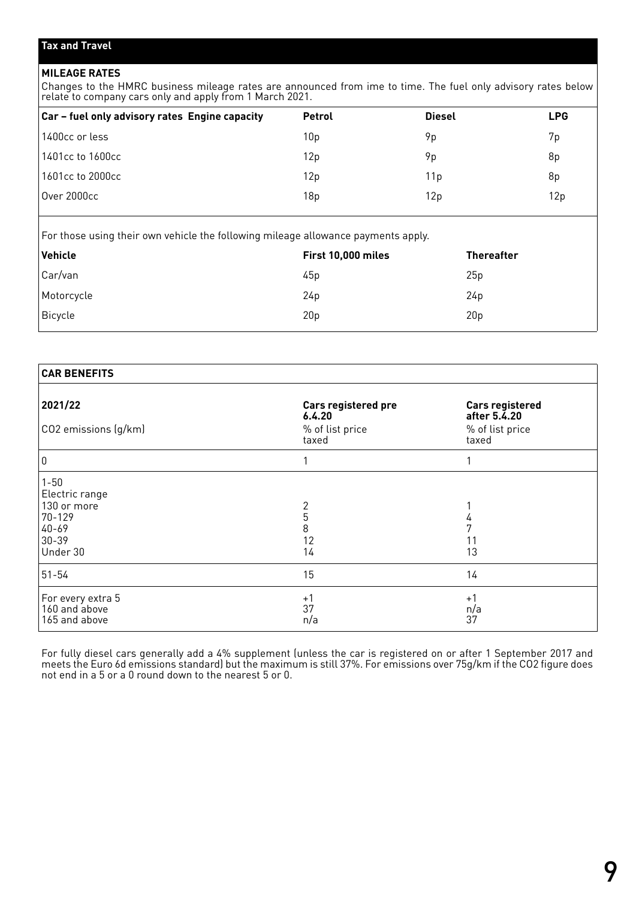### **MILEAGE RATES**

Changes to the HMRC business mileage rates are announced from ime to time. The fuel only advisory rates below relate to company cars only and apply from 1 March 2021.

| Car - fuel only advisory rates Engine capacity | <b>Petrol</b> | <b>Diesel</b> | <b>LPG</b> |
|------------------------------------------------|---------------|---------------|------------|
| 1400cc or less                                 | 10p           | 9p            | 7p         |
| 1401cc to 1600cc                               | 12p           | 9p            | 8p         |
| 1601cc to 2000cc                               | 12p           | 11 p          | 8p         |
| <b>Over 2000cc</b>                             | 18p           | 12p           | 12p        |

For those using their own vehicle the following mileage allowance payments apply.

| Vehicle                          | First 10,000 miles | <b>Thereafter</b> |  |
|----------------------------------|--------------------|-------------------|--|
|                                  | 45p                | 25p               |  |
|                                  | 24p                | 24p               |  |
|                                  | 20 <sub>p</sub>    | 20 <sub>p</sub>   |  |
| Car/van<br>Motorcycle<br>Bicycle |                    |                   |  |

| <b>CAR BENEFITS</b>  |                               |                                        |
|----------------------|-------------------------------|----------------------------------------|
| 2021/22              | Cars registered pre<br>6.4.20 | <b>Cars registered</b><br>after 5.4.20 |
| CO2 emissions (g/km) | % of list price<br>taxed      | % of list price<br>taxed               |
| 0                    |                               |                                        |
| $1 - 50$             |                               |                                        |
| Electric range       |                               |                                        |
| 130 or more          | 2                             |                                        |
| 70-129               | 5                             |                                        |
| $ 40-69$             | 8                             |                                        |
| $30-39$              | 12                            |                                        |
| Under 30             | 14                            | 13                                     |
| $ 51 - 54 $          | 15                            | 14                                     |
| For every extra 5    | $+1$                          | $+1$                                   |
| 160 and above        | 37                            | n/a                                    |
| 165 and above        | n/a                           | 37                                     |

For fully diesel cars generally add a 4% supplement (unless the car is registered on or after 1 September 2017 and meets the Euro 6d emissions standard) but the maximum is still 37%. For emissions over 75g/km if the CO2 figure does not end in a 5 or a 0 round down to the nearest 5 or 0.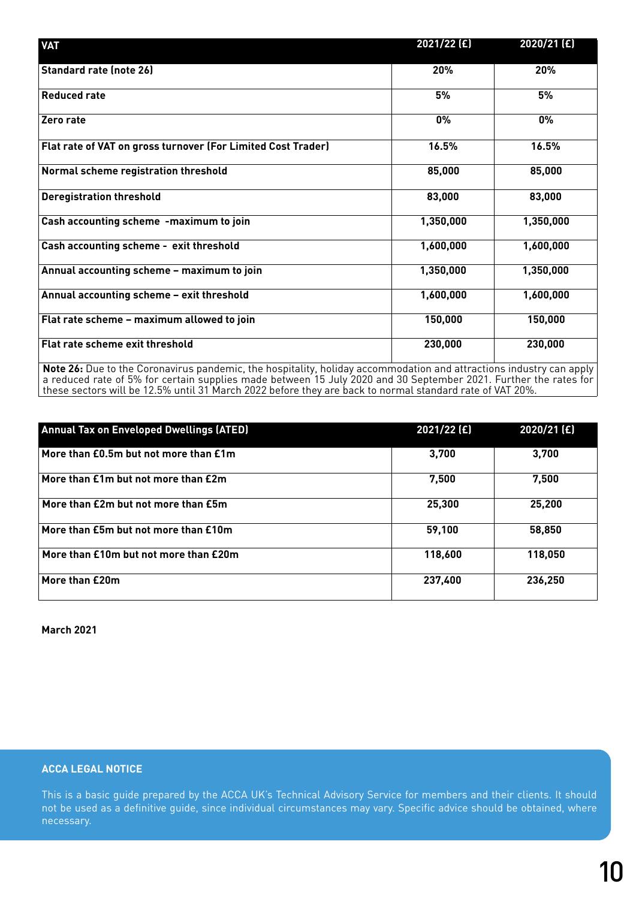| <b>VAT</b>                                                   | $2021/22$ (£)                                                                                                     | $2020/21$ (£) |  |  |
|--------------------------------------------------------------|-------------------------------------------------------------------------------------------------------------------|---------------|--|--|
| <b>Standard rate (note 26)</b>                               | 20%                                                                                                               | 20%           |  |  |
| <b>Reduced rate</b>                                          | 5%                                                                                                                | 5%            |  |  |
| Zero rate                                                    | 0%                                                                                                                | 0%            |  |  |
| Flat rate of VAT on gross turnover (For Limited Cost Trader) | 16.5%                                                                                                             | 16.5%         |  |  |
| Normal scheme registration threshold                         | 85,000                                                                                                            | 85,000        |  |  |
| <b>Deregistration threshold</b>                              | 83,000                                                                                                            | 83,000        |  |  |
| Cash accounting scheme -maximum to join                      | 1,350,000                                                                                                         | 1,350,000     |  |  |
| Cash accounting scheme - exit threshold                      | 1,600,000                                                                                                         | 1,600,000     |  |  |
| Annual accounting scheme - maximum to join                   | 1,350,000                                                                                                         | 1,350,000     |  |  |
| Annual accounting scheme - exit threshold                    | 1,600,000                                                                                                         | 1,600,000     |  |  |
| Flat rate scheme - maximum allowed to join                   | 150,000                                                                                                           | 150,000       |  |  |
| Flat rate scheme exit threshold                              | 230,000                                                                                                           | 230,000       |  |  |
|                                                              | Note 26. Due to the Coronavirus pandemic the bosnitality holiday accommodation and attractions industry can apply |               |  |  |

**Note 26:** Due to the Coronavirus pandemic, the hospitality, holiday accommodation and attractions industry can apply a reduced rate of 5% for certain supplies made between 15 July 2020 and 30 September 2021. Further the rates for these sectors will be 12.5% until 31 March 2022 before they are back to normal standard rate of VAT 20%.

| <b>Annual Tax on Enveloped Dwellings (ATED)</b> | $2021/22$ (£) | 2020/21 (£) |
|-------------------------------------------------|---------------|-------------|
| More than £0.5m but not more than £1m           | 3,700         | 3,700       |
| More than £1m but not more than £2m             | 7,500         | 7.500       |
| More than £2m but not more than £5m             | 25,300        | 25,200      |
| More than £5m but not more than £10m            | 59,100        | 58,850      |
| More than £10m but not more than £20m           | 118,600       | 118,050     |
| More than £20m                                  | 237,400       | 236,250     |

**March 2021**

## **ACCA LEGAL NOTICE**

This is a basic guide prepared by the ACCA UK's Technical Advisory Service for members and their clients. It should not be used as a definitive guide, since individual circumstances may vary. Specific advice should be obtained, where necessary.